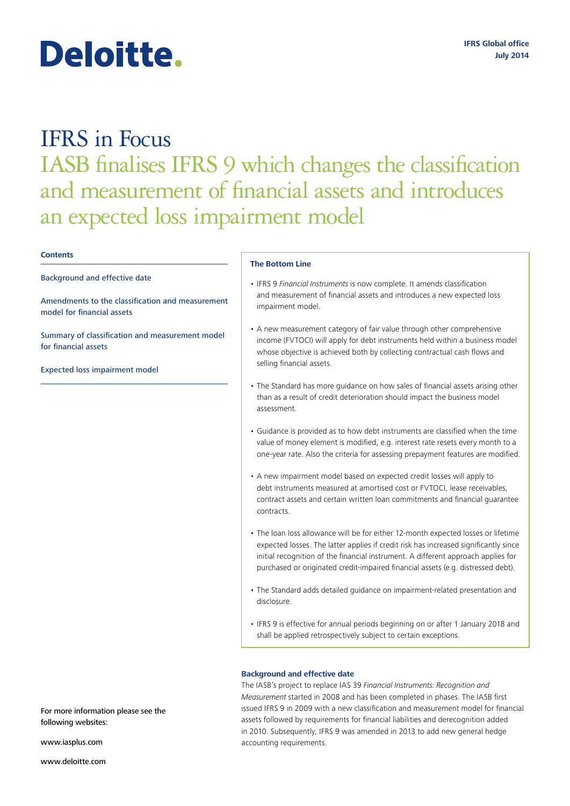# Deloitte.

# IFRS in Focus IASB finalises IFRS 9 which changes the classification and measurement of financial assets and introduces an expected loss impairment model

# **Contents**

Background and effective date

[Amendments to the classification and measurement](#page-1-0) [model for financial assets](#page-1-0)

[Summary of classification and measurement model](#page-3-0)  [for financial assets](#page-3-0) 

[Expected loss impairment model](#page-4-0)

# **The Bottom Line**

- IFRS 9 *Financial Instruments* is now complete. It amends classification and measurement of financial assets and introduces a new expected loss impairment model.
- A new measurement category of fair value through other comprehensive income (FVTOCI) will apply for debt instruments held within a business model whose objective is achieved both by collecting contractual cash flows and selling financial assets.
- The Standard has more guidance on how sales of financial assets arising other than as a result of credit deterioration should impact the business model assessment.
- Guidance is provided as to how debt instruments are classified when the time value of money element is modified, e.g. interest rate resets every month to a one-year rate. Also the criteria for assessing prepayment features are modified.
- A new impairment model based on expected credit losses will apply to debt instruments measured at amortised cost or FVTOCI, lease receivables, contract assets and certain written loan commitments and financial guarantee contracts.
- The loan loss allowance will be for either 12-month expected losses or lifetime expected losses. The latter applies if credit risk has increased significantly since initial recognition of the financial instrument. A different approach applies for purchased or originated credit-impaired financial assets (e.g. distressed debt).
- The Standard adds detailed guidance on impairment-related presentation and disclosure.
- IFRS 9 is effective for annual periods beginning on or after 1 January 2018 and shall be applied retrospectively subject to certain exceptions.

# **Background and effective date**

The IASB's project to replace IAS 39 *Financial Instruments: Recognition and Measurement* started in 2008 and has been completed in phases. The IASB first issued IFRS 9 in 2009 with a new classification and measurement model for financial assets followed by requirements for financial liabilities and derecognition added in 2010. Subsequently, IFRS 9 was amended in 2013 to add new general hedge accounting requirements.

For more information please see the following websites:

<www.iasplus.com>

<www.deloitte.com>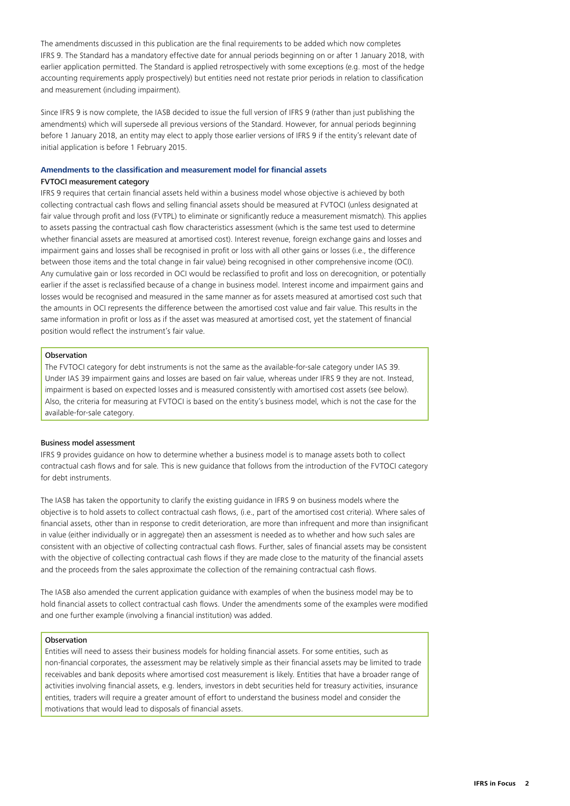<span id="page-1-0"></span>The amendments discussed in this publication are the final requirements to be added which now completes IFRS 9. The Standard has a mandatory effective date for annual periods beginning on or after 1 January 2018, with earlier application permitted. The Standard is applied retrospectively with some exceptions (e.g. most of the hedge accounting requirements apply prospectively) but entities need not restate prior periods in relation to classification and measurement (including impairment).

Since IFRS 9 is now complete, the IASB decided to issue the full version of IFRS 9 (rather than just publishing the amendments) which will supersede all previous versions of the Standard. However, for annual periods beginning before 1 January 2018, an entity may elect to apply those earlier versions of IFRS 9 if the entity's relevant date of initial application is before 1 February 2015.

# **Amendments to the classification and measurement model for financial assets** FVTOCI measurement category

IFRS 9 requires that certain financial assets held within a business model whose objective is achieved by both collecting contractual cash flows and selling financial assets should be measured at FVTOCI (unless designated at fair value through profit and loss (FVTPL) to eliminate or significantly reduce a measurement mismatch). This applies to assets passing the contractual cash flow characteristics assessment (which is the same test used to determine whether financial assets are measured at amortised cost). Interest revenue, foreign exchange gains and losses and impairment gains and losses shall be recognised in profit or loss with all other gains or losses (i.e., the difference between those items and the total change in fair value) being recognised in other comprehensive income (OCI). Any cumulative gain or loss recorded in OCI would be reclassified to profit and loss on derecognition, or potentially earlier if the asset is reclassified because of a change in business model. Interest income and impairment gains and losses would be recognised and measured in the same manner as for assets measured at amortised cost such that the amounts in OCI represents the difference between the amortised cost value and fair value. This results in the same information in profit or loss as if the asset was measured at amortised cost, yet the statement of financial position would reflect the instrument's fair value.

# Observation

The FVTOCI category for debt instruments is not the same as the available-for-sale category under IAS 39. Under IAS 39 impairment gains and losses are based on fair value, whereas under IFRS 9 they are not. Instead, impairment is based on expected losses and is measured consistently with amortised cost assets (see below). Also, the criteria for measuring at FVTOCI is based on the entity's business model, which is not the case for the available-for-sale category.

# Business model assessment

IFRS 9 provides guidance on how to determine whether a business model is to manage assets both to collect contractual cash flows and for sale. This is new guidance that follows from the introduction of the FVTOCI category for debt instruments.

The IASB has taken the opportunity to clarify the existing guidance in IFRS 9 on business models where the objective is to hold assets to collect contractual cash flows, (i.e., part of the amortised cost criteria). Where sales of financial assets, other than in response to credit deterioration, are more than infrequent and more than insignificant in value (either individually or in aggregate) then an assessment is needed as to whether and how such sales are consistent with an objective of collecting contractual cash flows. Further, sales of financial assets may be consistent with the objective of collecting contractual cash flows if they are made close to the maturity of the financial assets and the proceeds from the sales approximate the collection of the remaining contractual cash flows.

The IASB also amended the current application guidance with examples of when the business model may be to hold financial assets to collect contractual cash flows. Under the amendments some of the examples were modified and one further example (involving a financial institution) was added.

# **Observation**

Entities will need to assess their business models for holding financial assets. For some entities, such as non-financial corporates, the assessment may be relatively simple as their financial assets may be limited to trade receivables and bank deposits where amortised cost measurement is likely. Entities that have a broader range of activities involving financial assets, e.g. lenders, investors in debt securities held for treasury activities, insurance entities, traders will require a greater amount of effort to understand the business model and consider the motivations that would lead to disposals of financial assets.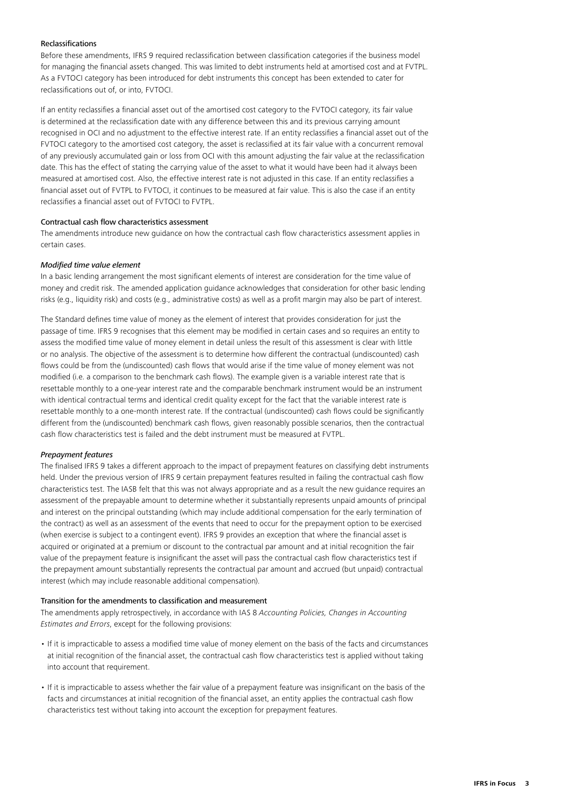# Reclassifications

Before these amendments, IFRS 9 required reclassification between classification categories if the business model for managing the financial assets changed. This was limited to debt instruments held at amortised cost and at FVTPL. As a FVTOCI category has been introduced for debt instruments this concept has been extended to cater for reclassifications out of, or into, FVTOCI.

If an entity reclassifies a financial asset out of the amortised cost category to the FVTOCI category, its fair value is determined at the reclassification date with any difference between this and its previous carrying amount recognised in OCI and no adjustment to the effective interest rate. If an entity reclassifies a financial asset out of the FVTOCI category to the amortised cost category, the asset is reclassified at its fair value with a concurrent removal of any previously accumulated gain or loss from OCI with this amount adjusting the fair value at the reclassification date. This has the effect of stating the carrying value of the asset to what it would have been had it always been measured at amortised cost. Also, the effective interest rate is not adjusted in this case. If an entity reclassifies a financial asset out of FVTPL to FVTOCI, it continues to be measured at fair value. This is also the case if an entity reclassifies a financial asset out of FVTOCI to FVTPL.

# Contractual cash flow characteristics assessment

The amendments introduce new guidance on how the contractual cash flow characteristics assessment applies in certain cases.

## *Modified time value element*

In a basic lending arrangement the most significant elements of interest are consideration for the time value of money and credit risk. The amended application guidance acknowledges that consideration for other basic lending risks (e.g., liquidity risk) and costs (e.g., administrative costs) as well as a profit margin may also be part of interest.

The Standard defines time value of money as the element of interest that provides consideration for just the passage of time. IFRS 9 recognises that this element may be modified in certain cases and so requires an entity to assess the modified time value of money element in detail unless the result of this assessment is clear with little or no analysis. The objective of the assessment is to determine how different the contractual (undiscounted) cash flows could be from the (undiscounted) cash flows that would arise if the time value of money element was not modified (i.e. a comparison to the benchmark cash flows). The example given is a variable interest rate that is resettable monthly to a one-year interest rate and the comparable benchmark instrument would be an instrument with identical contractual terms and identical credit quality except for the fact that the variable interest rate is resettable monthly to a one-month interest rate. If the contractual (undiscounted) cash flows could be significantly different from the (undiscounted) benchmark cash flows, given reasonably possible scenarios, then the contractual cash flow characteristics test is failed and the debt instrument must be measured at FVTPL.

# *Prepayment features*

The finalised IFRS 9 takes a different approach to the impact of prepayment features on classifying debt instruments held. Under the previous version of IFRS 9 certain prepayment features resulted in failing the contractual cash flow characteristics test. The IASB felt that this was not always appropriate and as a result the new guidance requires an assessment of the prepayable amount to determine whether it substantially represents unpaid amounts of principal and interest on the principal outstanding (which may include additional compensation for the early termination of the contract) as well as an assessment of the events that need to occur for the prepayment option to be exercised (when exercise is subject to a contingent event). IFRS 9 provides an exception that where the financial asset is acquired or originated at a premium or discount to the contractual par amount and at initial recognition the fair value of the prepayment feature is insignificant the asset will pass the contractual cash flow characteristics test if the prepayment amount substantially represents the contractual par amount and accrued (but unpaid) contractual interest (which may include reasonable additional compensation).

# Transition for the amendments to classification and measurement

The amendments apply retrospectively, in accordance with IAS 8 *Accounting Policies, Changes in Accounting Estimates and Errors*, except for the following provisions:

- If it is impracticable to assess a modified time value of money element on the basis of the facts and circumstances at initial recognition of the financial asset, the contractual cash flow characteristics test is applied without taking into account that requirement.
- If it is impracticable to assess whether the fair value of a prepayment feature was insignificant on the basis of the facts and circumstances at initial recognition of the financial asset, an entity applies the contractual cash flow characteristics test without taking into account the exception for prepayment features.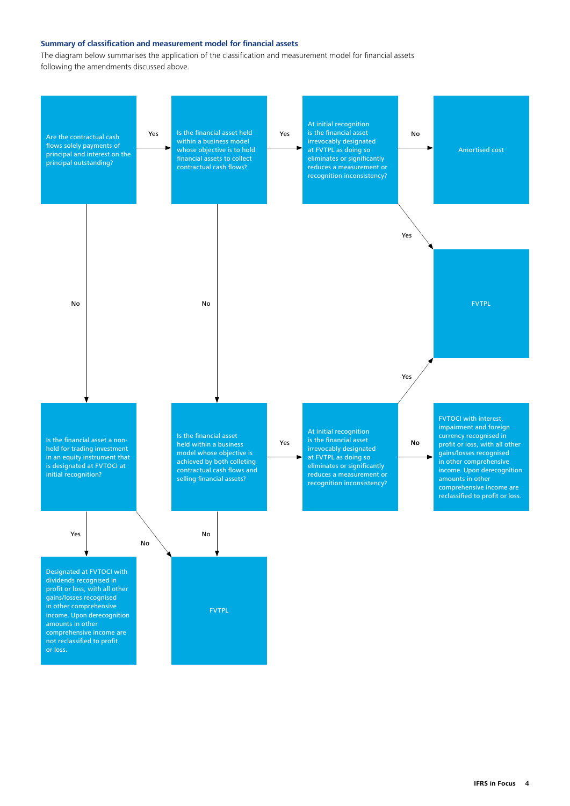# <span id="page-3-0"></span>**Summary of classification and measurement model for financial assets**

The diagram below summarises the application of the classification and measurement model for financial assets following the amendments discussed above.

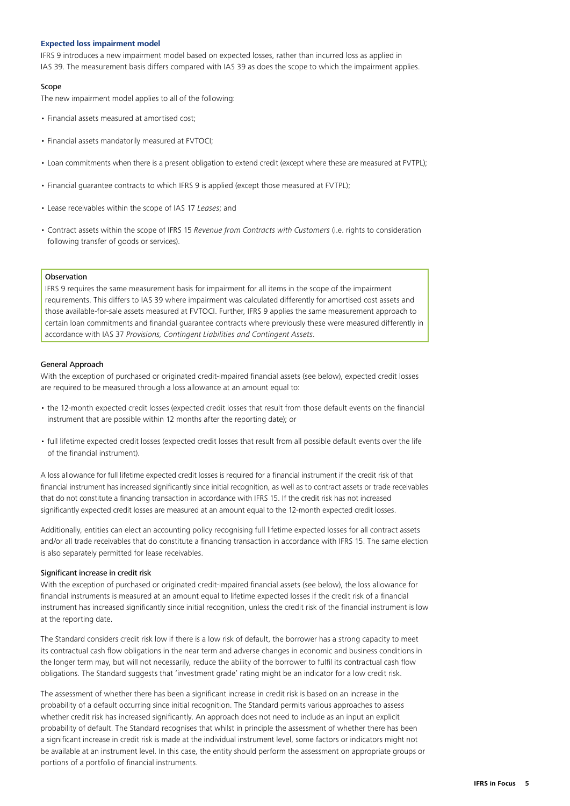# <span id="page-4-0"></span>**Expected loss impairment model**

IFRS 9 introduces a new impairment model based on expected losses, rather than incurred loss as applied in IAS 39. The measurement basis differs compared with IAS 39 as does the scope to which the impairment applies.

# Scope

The new impairment model applies to all of the following:

- Financial assets measured at amortised cost;
- Financial assets mandatorily measured at FVTOCI;
- Loan commitments when there is a present obligation to extend credit (except where these are measured at FVTPL);
- Financial guarantee contracts to which IFRS 9 is applied (except those measured at FVTPL);
- Lease receivables within the scope of IAS 17 *Leases*; and
- Contract assets within the scope of IFRS 15 *Revenue from Contracts with Customers* (i.e. rights to consideration following transfer of goods or services).

# Observation

IFRS 9 requires the same measurement basis for impairment for all items in the scope of the impairment requirements. This differs to IAS 39 where impairment was calculated differently for amortised cost assets and those available-for-sale assets measured at FVTOCI. Further, IFRS 9 applies the same measurement approach to certain loan commitments and financial guarantee contracts where previously these were measured differently in accordance with IAS 37 *Provisions, Contingent Liabilities and Contingent Assets*.

## General Approach

With the exception of purchased or originated credit-impaired financial assets (see below), expected credit losses are required to be measured through a loss allowance at an amount equal to:

- the 12-month expected credit losses (expected credit losses that result from those default events on the financial instrument that are possible within 12 months after the reporting date); or
- full lifetime expected credit losses (expected credit losses that result from all possible default events over the life of the financial instrument).

A loss allowance for full lifetime expected credit losses is required for a financial instrument if the credit risk of that financial instrument has increased significantly since initial recognition, as well as to contract assets or trade receivables that do not constitute a financing transaction in accordance with IFRS 15. If the credit risk has not increased significantly expected credit losses are measured at an amount equal to the 12-month expected credit losses.

Additionally, entities can elect an accounting policy recognising full lifetime expected losses for all contract assets and/or all trade receivables that do constitute a financing transaction in accordance with IFRS 15. The same election is also separately permitted for lease receivables.

# Significant increase in credit risk

With the exception of purchased or originated credit-impaired financial assets (see below), the loss allowance for financial instruments is measured at an amount equal to lifetime expected losses if the credit risk of a financial instrument has increased significantly since initial recognition, unless the credit risk of the financial instrument is low at the reporting date.

The Standard considers credit risk low if there is a low risk of default, the borrower has a strong capacity to meet its contractual cash flow obligations in the near term and adverse changes in economic and business conditions in the longer term may, but will not necessarily, reduce the ability of the borrower to fulfil its contractual cash flow obligations. The Standard suggests that 'investment grade' rating might be an indicator for a low credit risk.

The assessment of whether there has been a significant increase in credit risk is based on an increase in the probability of a default occurring since initial recognition. The Standard permits various approaches to assess whether credit risk has increased significantly. An approach does not need to include as an input an explicit probability of default. The Standard recognises that whilst in principle the assessment of whether there has been a significant increase in credit risk is made at the individual instrument level, some factors or indicators might not be available at an instrument level. In this case, the entity should perform the assessment on appropriate groups or portions of a portfolio of financial instruments.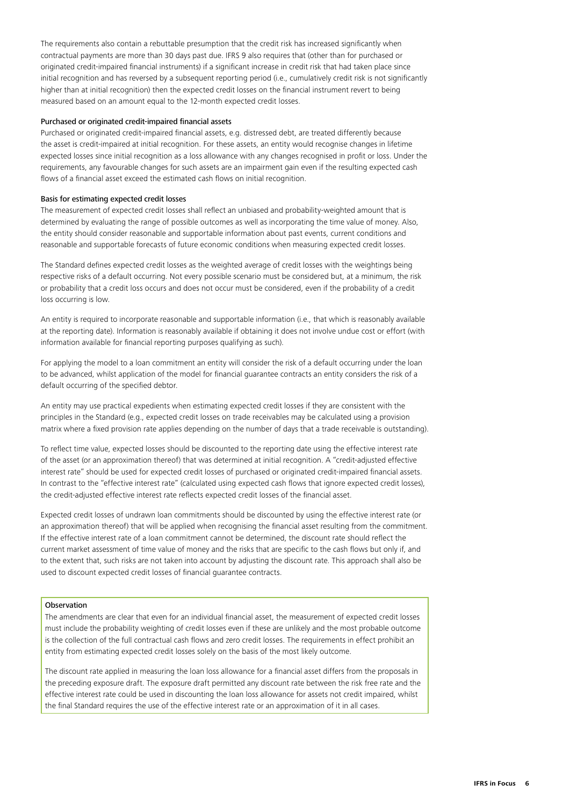The requirements also contain a rebuttable presumption that the credit risk has increased significantly when contractual payments are more than 30 days past due. IFRS 9 also requires that (other than for purchased or originated credit-impaired financial instruments) if a significant increase in credit risk that had taken place since initial recognition and has reversed by a subsequent reporting period (i.e., cumulatively credit risk is not significantly higher than at initial recognition) then the expected credit losses on the financial instrument revert to being measured based on an amount equal to the 12-month expected credit losses.

# Purchased or originated credit-impaired financial assets

Purchased or originated credit-impaired financial assets, e.g. distressed debt, are treated differently because the asset is credit-impaired at initial recognition. For these assets, an entity would recognise changes in lifetime expected losses since initial recognition as a loss allowance with any changes recognised in profit or loss. Under the requirements, any favourable changes for such assets are an impairment gain even if the resulting expected cash flows of a financial asset exceed the estimated cash flows on initial recognition.

# Basis for estimating expected credit losses

The measurement of expected credit losses shall reflect an unbiased and probability-weighted amount that is determined by evaluating the range of possible outcomes as well as incorporating the time value of money. Also, the entity should consider reasonable and supportable information about past events, current conditions and reasonable and supportable forecasts of future economic conditions when measuring expected credit losses.

The Standard defines expected credit losses as the weighted average of credit losses with the weightings being respective risks of a default occurring. Not every possible scenario must be considered but, at a minimum, the risk or probability that a credit loss occurs and does not occur must be considered, even if the probability of a credit loss occurring is low.

An entity is required to incorporate reasonable and supportable information (i.e., that which is reasonably available at the reporting date). Information is reasonably available if obtaining it does not involve undue cost or effort (with information available for financial reporting purposes qualifying as such).

For applying the model to a loan commitment an entity will consider the risk of a default occurring under the loan to be advanced, whilst application of the model for financial guarantee contracts an entity considers the risk of a default occurring of the specified debtor.

An entity may use practical expedients when estimating expected credit losses if they are consistent with the principles in the Standard (e.g., expected credit losses on trade receivables may be calculated using a provision matrix where a fixed provision rate applies depending on the number of days that a trade receivable is outstanding).

To reflect time value, expected losses should be discounted to the reporting date using the effective interest rate of the asset (or an approximation thereof) that was determined at initial recognition. A "credit-adjusted effective interest rate" should be used for expected credit losses of purchased or originated credit-impaired financial assets. In contrast to the "effective interest rate" (calculated using expected cash flows that ignore expected credit losses), the credit-adjusted effective interest rate reflects expected credit losses of the financial asset.

Expected credit losses of undrawn loan commitments should be discounted by using the effective interest rate (or an approximation thereof) that will be applied when recognising the financial asset resulting from the commitment. If the effective interest rate of a loan commitment cannot be determined, the discount rate should reflect the current market assessment of time value of money and the risks that are specific to the cash flows but only if, and to the extent that, such risks are not taken into account by adjusting the discount rate. This approach shall also be used to discount expected credit losses of financial guarantee contracts.

# **Observation**

The amendments are clear that even for an individual financial asset, the measurement of expected credit losses must include the probability weighting of credit losses even if these are unlikely and the most probable outcome is the collection of the full contractual cash flows and zero credit losses. The requirements in effect prohibit an entity from estimating expected credit losses solely on the basis of the most likely outcome.

The discount rate applied in measuring the loan loss allowance for a financial asset differs from the proposals in the preceding exposure draft. The exposure draft permitted any discount rate between the risk free rate and the effective interest rate could be used in discounting the loan loss allowance for assets not credit impaired, whilst the final Standard requires the use of the effective interest rate or an approximation of it in all cases.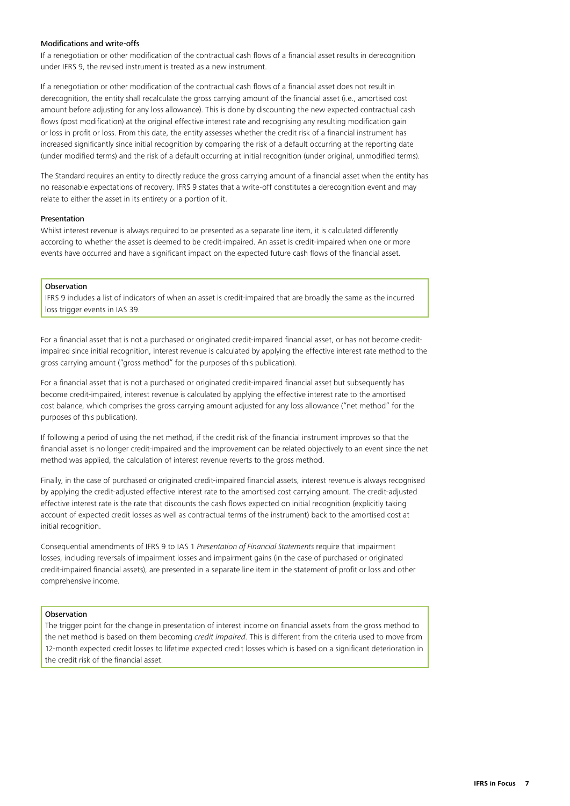# Modifications and write-offs

If a renegotiation or other modification of the contractual cash flows of a financial asset results in derecognition under IFRS 9, the revised instrument is treated as a new instrument.

If a renegotiation or other modification of the contractual cash flows of a financial asset does not result in derecognition, the entity shall recalculate the gross carrying amount of the financial asset (i.e., amortised cost amount before adjusting for any loss allowance). This is done by discounting the new expected contractual cash flows (post modification) at the original effective interest rate and recognising any resulting modification gain or loss in profit or loss. From this date, the entity assesses whether the credit risk of a financial instrument has increased significantly since initial recognition by comparing the risk of a default occurring at the reporting date (under modified terms) and the risk of a default occurring at initial recognition (under original, unmodified terms).

The Standard requires an entity to directly reduce the gross carrying amount of a financial asset when the entity has no reasonable expectations of recovery. IFRS 9 states that a write-off constitutes a derecognition event and may relate to either the asset in its entirety or a portion of it.

# **Presentation**

Whilst interest revenue is always required to be presented as a separate line item, it is calculated differently according to whether the asset is deemed to be credit-impaired. An asset is credit-impaired when one or more events have occurred and have a significant impact on the expected future cash flows of the financial asset.

# **Observation**

IFRS 9 includes a list of indicators of when an asset is credit-impaired that are broadly the same as the incurred loss trigger events in IAS 39.

For a financial asset that is not a purchased or originated credit-impaired financial asset, or has not become creditimpaired since initial recognition, interest revenue is calculated by applying the effective interest rate method to the gross carrying amount ("gross method" for the purposes of this publication).

For a financial asset that is not a purchased or originated credit-impaired financial asset but subsequently has become credit-impaired, interest revenue is calculated by applying the effective interest rate to the amortised cost balance, which comprises the gross carrying amount adjusted for any loss allowance ("net method" for the purposes of this publication).

If following a period of using the net method, if the credit risk of the financial instrument improves so that the financial asset is no longer credit-impaired and the improvement can be related objectively to an event since the net method was applied, the calculation of interest revenue reverts to the gross method.

Finally, in the case of purchased or originated credit-impaired financial assets, interest revenue is always recognised by applying the credit-adjusted effective interest rate to the amortised cost carrying amount. The credit-adjusted effective interest rate is the rate that discounts the cash flows expected on initial recognition (explicitly taking account of expected credit losses as well as contractual terms of the instrument) back to the amortised cost at initial recognition.

Consequential amendments of IFRS 9 to IAS 1 *Presentation of Financial Statements* require that impairment losses, including reversals of impairment losses and impairment gains (in the case of purchased or originated credit-impaired financial assets), are presented in a separate line item in the statement of profit or loss and other comprehensive income.

# Observation

The trigger point for the change in presentation of interest income on financial assets from the gross method to the net method is based on them becoming *credit impaired*. This is different from the criteria used to move from 12-month expected credit losses to lifetime expected credit losses which is based on a significant deterioration in the credit risk of the financial asset.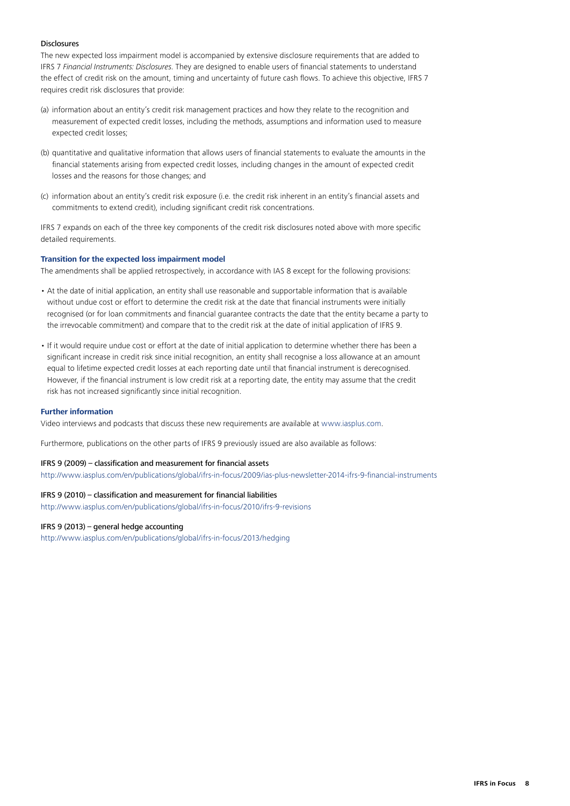# **Disclosures**

The new expected loss impairment model is accompanied by extensive disclosure requirements that are added to IFRS 7 *Financial Instruments: Disclosures*. They are designed to enable users of financial statements to understand the effect of credit risk on the amount, timing and uncertainty of future cash flows. To achieve this objective, IFRS 7 requires credit risk disclosures that provide:

- (a) information about an entity's credit risk management practices and how they relate to the recognition and measurement of expected credit losses, including the methods, assumptions and information used to measure expected credit losses;
- (b) quantitative and qualitative information that allows users of financial statements to evaluate the amounts in the financial statements arising from expected credit losses, including changes in the amount of expected credit losses and the reasons for those changes; and
- (c) information about an entity's credit risk exposure (i.e. the credit risk inherent in an entity's financial assets and commitments to extend credit), including significant credit risk concentrations.

IFRS 7 expands on each of the three key components of the credit risk disclosures noted above with more specific detailed requirements.

# **Transition for the expected loss impairment model**

The amendments shall be applied retrospectively, in accordance with IAS 8 except for the following provisions:

- At the date of initial application, an entity shall use reasonable and supportable information that is available without undue cost or effort to determine the credit risk at the date that financial instruments were initially recognised (or for loan commitments and financial guarantee contracts the date that the entity became a party to the irrevocable commitment) and compare that to the credit risk at the date of initial application of IFRS 9.
- If it would require undue cost or effort at the date of initial application to determine whether there has been a significant increase in credit risk since initial recognition, an entity shall recognise a loss allowance at an amount equal to lifetime expected credit losses at each reporting date until that financial instrument is derecognised. However, if the financial instrument is low credit risk at a reporting date, the entity may assume that the credit risk has not increased significantly since initial recognition.

# **Further information**

Video interviews and podcasts that discuss these new requirements are available at <www.iasplus.com>.

Furthermore, publications on the other parts of IFRS 9 previously issued are also available as follows:

# IFRS 9 (2009) – classification and measurement for financial assets

[http://www.iasplus.com/en/publications/global/ifrs-in-focus/2009/ias](http://www.iasplus.com/en/publications/global/ifrs-in-focus/2009/ias-plus-newsletter-2014-ifrs-9-financial-instruments)-plus-newsletter-2014-ifrs-9-financial-instruments

# IFRS 9 (2010) – classification and measurement for financial liabilities

[http://www.iasplus.com/en/publications/global/ifrs-in-focus/2010/ifrs-](http://www.iasplus.com/en/publications/global/ifrs-in-focus/2010/ifrs-9-revisions)9-revisions

# IFRS 9 (2013) – general hedge accounting

<http://www.iasplus.com/en/publications/global/ifrs-in-focus/2013/hedging>